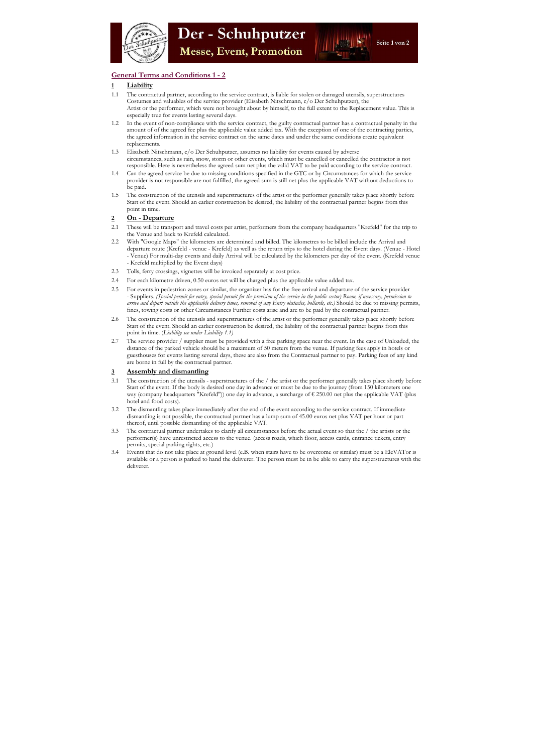

# General Terms and Conditions 1 - 2

## 1 Liability

- 1.1 The contractual partner, according to the service contract, is liable for stolen or damaged utensils, superstructures Costumes and valuables of the service provider (Elisabeth Nitschmann, c/o Der Schuhputzer), the Artist or the performer, which were not brought about by himself, to the full extent to the Replacement value. This is especially true for events lasting several days.
- 1.2 In the event of non-compliance with the service contract, the guilty contractual partner has a contractual penalty in the amount of of the agreed fee plus the applicable value added tax. With the exception of one of the contracting parties, the agreed information in the service contract on the same dates and under the same conditions create equivalent replacements.
- 1.3 Elisabeth Nitschmann, c/o Der Schuhputzer, assumes no liability for events caused by adverse circumstances, such as rain, snow, storm or other events, which must be cancelled or cancelled the contractor is not responsible. Here is nevertheless the agreed sum net plus the valid VAT to be paid according to the service contract.
- 1.4 Can the agreed service be due to missing conditions specified in the GTC or by Circumstances for which the service provider is not responsible are not fulfilled, the agreed sum is still net plus the applicable VAT without deductions to be paid.
- 1.5 The construction of the utensils and superstructures of the artist or the performer generally takes place shortly before Start of the event. Should an earlier construction be desired, the liability of the contractual partner begins from this point in time.

## 2 On - Departure

- 2.1 These will be transport and travel costs per artist, performers from the company headquarters "Krefeld" for the trip to the Venue and back to Krefeld calculated.
- 2.2 With "Google Maps" the kilometers are determined and billed. The kilometres to be billed include the Arrival and departure route (Krefeld - venue - Krefeld) as well as the return trips to the hotel during the Event days. (Venue - Hotel - Venue) For multi-day events and daily Arrival will be calculated by the kilometers per day of the event. (Krefeld venue - Krefeld multiplied by the Event days)
- 2.3 Tolls, ferry crossings, vignettes will be invoiced separately at cost price.
- 2.4 For each kilometre driven, 0.50 euros net will be charged plus the applicable value added tax.
- 2.5 For events in pedestrian zones or similar, the organizer has for the free arrival and departure of the service provider - Suppliers. (Special permit for entry, special permit for the provision of the service in the public sector) Room, if necessary, permission to arrive and depart outside the applicable delivery times, removal of any Entry obstacles, bollards, etc.) Should be due to missing permits, fines, towing costs or other Circumstances Further costs arise and are to be paid by the contractual partner.
- 2.6 The construction of the utensils and superstructures of the artist or the performer generally takes place shortly before Start of the event. Should an earlier construction be desired, the liability of the contractual partner begins from this point in time. (Liability see under Liability 1.1)
- 2.7 The service provider / supplier must be provided with a free parking space near the event. In the case of Unloaded, the distance of the parked vehicle should be a maximum of 50 meters from the venue. If parking fees apply in hotels or guesthouses for events lasting several days, these are also from the Contractual partner to pay. Parking fees of any kind are borne in full by the contractual partner.

## 3 Assembly and dismantling

- 3.1 The construction of the utensils superstructures of the / the artist or the performer generally takes place shortly before Start of the event. If the body is desired one day in advance or must be due to the journey (from 150 kilometers one way (company headquarters "Krefeld")) one day in advance, a surcharge of € 250.00 net plus the applicable VAT (plus hotel and food costs).
- 3.2 The dismantling takes place immediately after the end of the event according to the service contract. If immediate dismantling is not possible, the contractual partner has a lump sum of 45.00 euros net plus VAT per hour or part thereof, until possible dismantling of the applicable VAT.
- 3.3 The contractual partner undertakes to clarify all circumstances before the actual event so that the / the artists or the performer(s) have unrestricted access to the venue. (access roads, which floor, access cards, entrance tickets, entry permits, special parking rights, etc.)
- 3.4 Events that do not take place at ground level (e.B. when stairs have to be overcome or similar) must be a EleVATor is available or a person is parked to hand the deliverer. The person must be in be able to carry the superstructures with the deliverer.